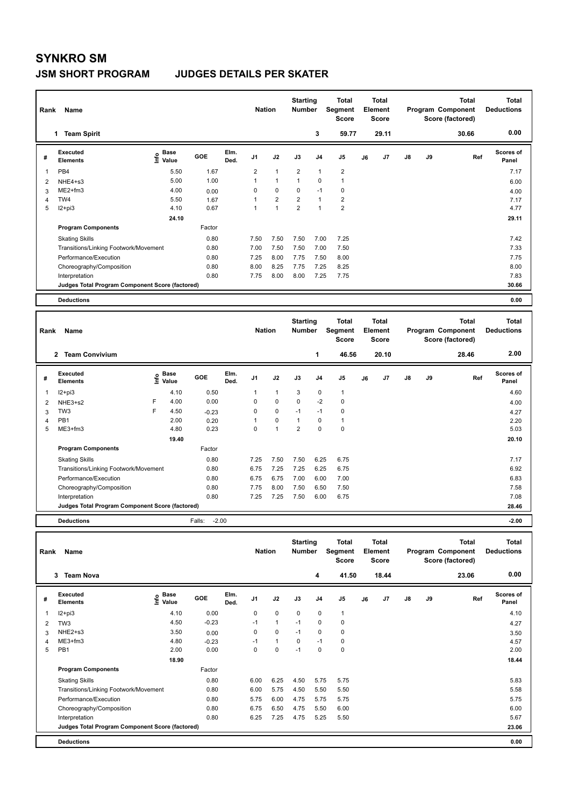## **SYNKRO SM**

## **JSM SHORT PROGRAM JUDGES DETAILS PER SKATER**

|   | Name<br>Rank                                    |                            |        |              |                |                | <b>Starting</b><br><b>Number</b> |                | Total<br>Segment<br><b>Score</b> | <b>Total</b><br>Element<br><b>Score</b> |       |               |    | <b>Total</b><br>Program Component<br>Score (factored) | <b>Total</b><br><b>Deductions</b> |
|---|-------------------------------------------------|----------------------------|--------|--------------|----------------|----------------|----------------------------------|----------------|----------------------------------|-----------------------------------------|-------|---------------|----|-------------------------------------------------------|-----------------------------------|
|   | <b>Team Spirit</b><br>1                         |                            |        |              |                |                |                                  | 3              | 59.77                            |                                         | 29.11 |               |    | 30.66                                                 | 0.00                              |
| # | Executed<br><b>Elements</b>                     | <b>Base</b><br>۴ů<br>Value | GOE    | Elm.<br>Ded. | J <sub>1</sub> | J2             | J3                               | J <sub>4</sub> | J <sub>5</sub>                   | J6                                      | J7    | $\mathsf{J}8$ | J9 | Ref                                                   | <b>Scores of</b><br>Panel         |
|   | PB4                                             | 5.50                       | 1.67   |              | $\overline{2}$ | 1              | $\overline{2}$                   | 1              | $\overline{\mathbf{c}}$          |                                         |       |               |    |                                                       | 7.17                              |
| 2 | NHE4+s3                                         | 5.00                       | 1.00   |              |                | $\mathbf{1}$   |                                  | $\mathbf 0$    | $\mathbf{1}$                     |                                         |       |               |    |                                                       | 6.00                              |
| 3 | $ME2+fm3$                                       | 4.00                       | 0.00   |              | 0              | 0              | 0                                | $-1$           | 0                                |                                         |       |               |    |                                                       | 4.00                              |
| 4 | TW4                                             | 5.50                       | 1.67   |              |                | $\overline{2}$ | 2                                | $\overline{1}$ | $\overline{2}$                   |                                         |       |               |    |                                                       | 7.17                              |
| 5 | $I2 + pi3$                                      | 4.10                       | 0.67   |              |                | 1              | $\overline{2}$                   | $\overline{1}$ | $\overline{2}$                   |                                         |       |               |    |                                                       | 4.77                              |
|   |                                                 | 24.10                      |        |              |                |                |                                  |                |                                  |                                         |       |               |    |                                                       | 29.11                             |
|   | <b>Program Components</b>                       |                            | Factor |              |                |                |                                  |                |                                  |                                         |       |               |    |                                                       |                                   |
|   | <b>Skating Skills</b>                           |                            | 0.80   |              | 7.50           | 7.50           | 7.50                             | 7.00           | 7.25                             |                                         |       |               |    |                                                       | 7.42                              |
|   | Transitions/Linking Footwork/Movement           |                            | 0.80   |              | 7.00           | 7.50           | 7.50                             | 7.00           | 7.50                             |                                         |       |               |    |                                                       | 7.33                              |
|   | Performance/Execution                           |                            | 0.80   |              | 7.25           | 8.00           | 7.75                             | 7.50           | 8.00                             |                                         |       |               |    |                                                       | 7.75                              |
|   | Choreography/Composition                        |                            | 0.80   |              | 8.00           | 8.25           | 7.75                             | 7.25           | 8.25                             |                                         |       |               |    |                                                       | 8.00                              |
|   | Interpretation                                  |                            | 0.80   |              | 7.75           | 8.00           | 8.00                             | 7.25           | 7.75                             |                                         |       |               |    |                                                       | 7.83                              |
|   | Judges Total Program Component Score (factored) |                            |        |              |                |                |                                  |                |                                  |                                         |       |               |    |                                                       | 30.66                             |
|   | <b>Deductions</b>                               |                            |        |              |                |                |                                  |                |                                  |                                         |       |               |    |                                                       | 0.00                              |

| Rank | Name                                            |    |                      |                   |              | <b>Nation</b>  |                | <b>Starting</b><br><b>Number</b> |                | <b>Total</b><br>Segment<br><b>Score</b> |    | <b>Total</b><br>Element<br><b>Score</b> |               |    | <b>Total</b><br>Program Component<br>Score (factored) | <b>Total</b><br><b>Deductions</b> |
|------|-------------------------------------------------|----|----------------------|-------------------|--------------|----------------|----------------|----------------------------------|----------------|-----------------------------------------|----|-----------------------------------------|---------------|----|-------------------------------------------------------|-----------------------------------|
|      | <b>Team Convivium</b><br>$\mathbf{2}$           |    |                      |                   |              |                |                |                                  | 1              | 46.56                                   |    | 20.10                                   |               |    | 28.46                                                 | 2.00                              |
| #    | Executed<br><b>Elements</b>                     | ۴ů | <b>Base</b><br>Value | GOE               | Elm.<br>Ded. | J <sub>1</sub> | J2             | J3                               | J <sub>4</sub> | J <sub>5</sub>                          | J6 | J <sub>7</sub>                          | $\mathsf{J}8$ | J9 | Ref                                                   | <b>Scores of</b><br>Panel         |
| 1    | $12+pi3$                                        |    | 4.10                 | 0.50              |              | 1              | 1              | 3                                | 0              | 1                                       |    |                                         |               |    |                                                       | 4.60                              |
| 2    | NHE3+s2                                         | F  | 4.00                 | 0.00              |              | 0              | $\mathbf 0$    | $\mathbf 0$                      | $-2$           | 0                                       |    |                                         |               |    |                                                       | 4.00                              |
| 3    | TW <sub>3</sub>                                 | F  | 4.50                 | $-0.23$           |              | $\Omega$       | $\mathbf 0$    | $-1$                             | $-1$           | $\mathbf 0$                             |    |                                         |               |    |                                                       | 4.27                              |
| 4    | PB1                                             |    | 2.00                 | 0.20              |              |                | 0              | 1                                | 0              | 1                                       |    |                                         |               |    |                                                       | 2.20                              |
| 5    | ME3+fm3                                         |    | 4.80                 | 0.23              |              | $\Omega$       | $\overline{ }$ | 2                                | $\Omega$       | $\mathbf 0$                             |    |                                         |               |    |                                                       | 5.03                              |
|      |                                                 |    | 19.40                |                   |              |                |                |                                  |                |                                         |    |                                         |               |    |                                                       | 20.10                             |
|      | <b>Program Components</b>                       |    |                      | Factor            |              |                |                |                                  |                |                                         |    |                                         |               |    |                                                       |                                   |
|      | <b>Skating Skills</b>                           |    |                      | 0.80              |              | 7.25           | 7.50           | 7.50                             | 6.25           | 6.75                                    |    |                                         |               |    |                                                       | 7.17                              |
|      | Transitions/Linking Footwork/Movement           |    |                      | 0.80              |              | 6.75           | 7.25           | 7.25                             | 6.25           | 6.75                                    |    |                                         |               |    |                                                       | 6.92                              |
|      | Performance/Execution                           |    |                      | 0.80              |              | 6.75           | 6.75           | 7.00                             | 6.00           | 7.00                                    |    |                                         |               |    |                                                       | 6.83                              |
|      | Choreography/Composition                        |    |                      | 0.80              |              | 7.75           | 8.00           | 7.50                             | 6.50           | 7.50                                    |    |                                         |               |    |                                                       | 7.58                              |
|      | Interpretation                                  |    |                      | 0.80              |              | 7.25           | 7.25           | 7.50                             | 6.00           | 6.75                                    |    |                                         |               |    |                                                       | 7.08                              |
|      | Judges Total Program Component Score (factored) |    |                      |                   |              |                |                |                                  |                |                                         |    |                                         |               |    |                                                       | 28.46                             |
|      | <b>Deductions</b>                               |    |                      | $-2.00$<br>Falls: |              |                |                |                                  |                |                                         |    |                                         |               |    |                                                       | $-2.00$                           |

|   | Rank<br>Name                                    |                              |         |              |                | <b>Nation</b> |             | <b>Starting</b><br><b>Number</b> | <b>Total</b><br>Segment<br><b>Score</b> |    | <b>Total</b><br>Element<br><b>Score</b> |               | <b>Total</b><br>Program Component<br>Score (factored) |       | <b>Total</b><br><b>Deductions</b> |
|---|-------------------------------------------------|------------------------------|---------|--------------|----------------|---------------|-------------|----------------------------------|-----------------------------------------|----|-----------------------------------------|---------------|-------------------------------------------------------|-------|-----------------------------------|
|   | <b>Team Nova</b><br>3                           |                              |         |              |                |               |             | 4                                | 41.50                                   |    | 18.44                                   |               |                                                       | 23.06 | 0.00                              |
| # | <b>Executed</b><br><b>Elements</b>              | <b>Base</b><br>١nfo<br>Value | GOE     | Elm.<br>Ded. | J <sub>1</sub> | J2            | J3          | J <sub>4</sub>                   | J <sub>5</sub>                          | J6 | J7                                      | $\mathsf{J}8$ | J9                                                    | Ref   | Scores of<br>Panel                |
| 1 | $12+pi3$                                        | 4.10                         | 0.00    |              | 0              | $\mathbf 0$   | $\mathbf 0$ | $\mathbf 0$                      | 1                                       |    |                                         |               |                                                       |       | 4.10                              |
| 2 | TW <sub>3</sub>                                 | 4.50                         | $-0.23$ |              | $-1$           | $\mathbf{1}$  | $-1$        | 0                                | 0                                       |    |                                         |               |                                                       |       | 4.27                              |
| 3 | NHE2+s3                                         | 3.50                         | 0.00    |              | 0              | $\mathbf 0$   | $-1$        | 0                                | 0                                       |    |                                         |               |                                                       |       | 3.50                              |
| 4 | $ME3+fm3$                                       | 4.80                         | $-0.23$ |              | $-1$           | $\mathbf{1}$  | 0           | $-1$                             | 0                                       |    |                                         |               |                                                       |       | 4.57                              |
| 5 | PB1                                             | 2.00                         | 0.00    |              | 0              | $\mathbf 0$   | $-1$        | $\mathbf 0$                      | $\mathbf 0$                             |    |                                         |               |                                                       |       | 2.00                              |
|   |                                                 | 18.90                        |         |              |                |               |             |                                  |                                         |    |                                         |               |                                                       |       | 18.44                             |
|   | <b>Program Components</b>                       |                              | Factor  |              |                |               |             |                                  |                                         |    |                                         |               |                                                       |       |                                   |
|   | <b>Skating Skills</b>                           |                              | 0.80    |              | 6.00           | 6.25          | 4.50        | 5.75                             | 5.75                                    |    |                                         |               |                                                       |       | 5.83                              |
|   | Transitions/Linking Footwork/Movement           |                              | 0.80    |              | 6.00           | 5.75          | 4.50        | 5.50                             | 5.50                                    |    |                                         |               |                                                       |       | 5.58                              |
|   | Performance/Execution                           |                              | 0.80    |              | 5.75           | 6.00          | 4.75        | 5.75                             | 5.75                                    |    |                                         |               |                                                       |       | 5.75                              |
|   | Choreography/Composition                        |                              | 0.80    |              | 6.75           | 6.50          | 4.75        | 5.50                             | 6.00                                    |    |                                         |               |                                                       |       | 6.00                              |
|   | Interpretation                                  |                              | 0.80    |              | 6.25           | 7.25          | 4.75        | 5.25                             | 5.50                                    |    |                                         |               |                                                       |       | 5.67                              |
|   | Judges Total Program Component Score (factored) |                              |         |              |                |               |             |                                  |                                         |    |                                         |               |                                                       |       | 23.06                             |
|   | <b>Deductions</b>                               |                              |         |              |                |               |             |                                  |                                         |    |                                         |               |                                                       |       | 0.00                              |